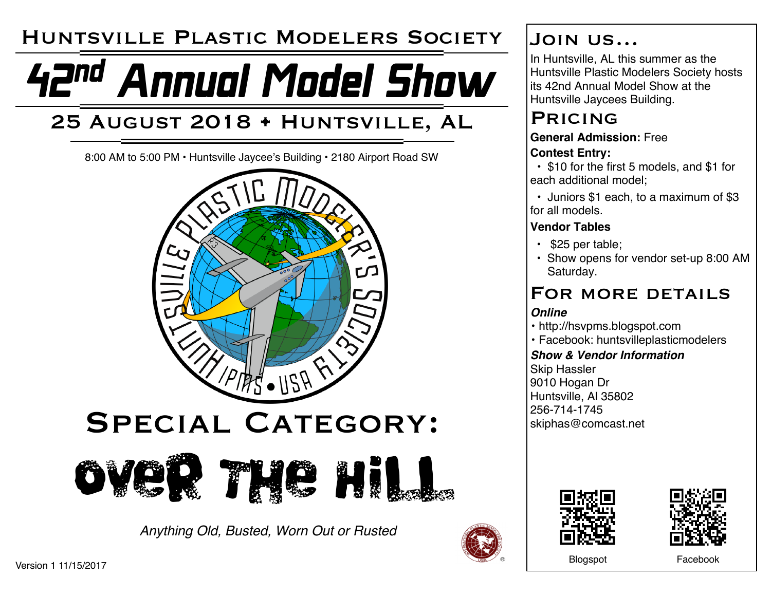## Huntsville Plastic Modelers Society

# 42nd Annual Model Show

## 25 August 2018 • Huntsville, AL

8:00 AM to 5:00 PM • Huntsville Jaycee's Building • 2180 Airport Road SW





*Anything Old, Busted, Worn Out or Rusted*



## Join us…

In Huntsville, AL this summer as the Huntsville Plastic Modelers Society hosts its 42nd Annual Model Show at the Huntsville Jaycees Building.

## **PRICING**

#### **General Admission:** Free **Contest Entry:**

• \$10 for the first 5 models, and \$1 for each additional model;

• Juniors \$1 each, to a maximum of \$3 for all models.

#### **Vendor Tables**

- \$25 per table;
- Show opens for vendor set-up 8:00 AM Saturday.

## FOR MORE DETAILS

#### *Online*

- http://hsvpms.blogspot.com
- Facebook: huntsvilleplasticmodelers

#### *Show & Vendor Information*

Skip Hassler 9010 Hogan Dr Huntsville, Al 35802 256-714-1745 skiphas@comcast.net